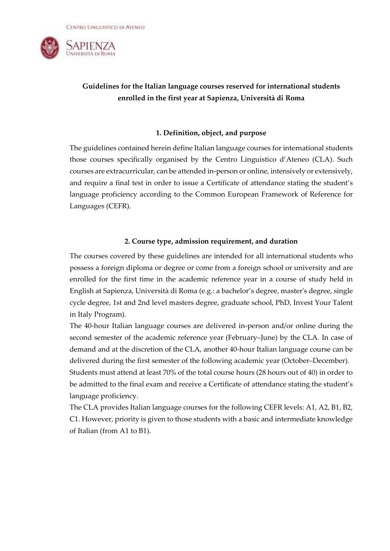

# **Guidelines for the Italian language courses reserved for international students enrolled in the first year at Sapienza, Università di Roma**

### **1. Definition, object, and purpose**

The guidelines contained herein define Italian language courses for international students those courses specifically organised by the Centro Linguistico d'Ateneo (CLA). Such courses are extracurricular, can be attended in-person or online, intensively or extensively, and require a final test in order to issue a Certificate of attendance stating the student's language proficiency according to the Common European Framework of Reference for Languages (CEFR).

### **2. Course type, admission requirement, and duration**

The courses covered by these guidelines are intended for all international students who possess a foreign diploma or degree or come from a foreign school or university and are enrolled for the first time in the academic reference year in a course of study held in English at Sapienza, Università di Roma (e.g.: a bachelor's degree, master's degree, single cycle degree, 1st and 2nd level masters degree, graduate school, PhD, Invest Your Talent in Italy Program).

The 40-hour Italian language courses are delivered in-person and/or online during the second semester of the academic reference year (February–June) by the CLA. In case of demand and at the discretion of the CLA, another 40-hour Italian language course can be delivered during the first semester of the following academic year (October–December).

Students must attend at least 70% of the total course hours (28 hours out of 40) in order to be admitted to the final exam and receive a Certificate of attendance stating the student's language proficiency.

The CLA provides Italian language courses for the following CEFR levels: A1, A2, B1, B2, C1. However, priority is given to those students with a basic and intermediate knowledge of Italian (from A1 to B1).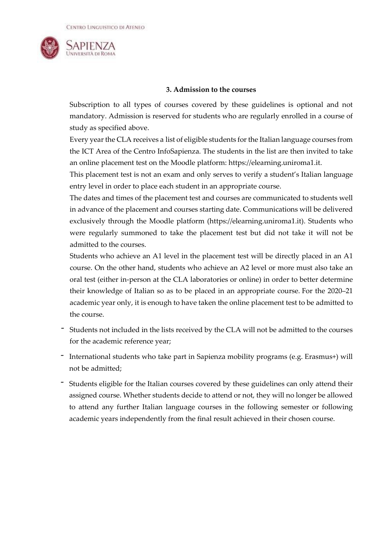

# **3. Admission to the courses**

Subscription to all types of courses covered by these guidelines is optional and not mandatory. Admission is reserved for students who are regularly enrolled in a course of study as specified above.

Every year the CLA receives a list of eligible students for the Italian language courses from the ICT Area of the Centro InfoSapienza. The students in the list are then invited to take an online placement test on the Moodle platform: [https://elearning.uniroma1.it.](https://elearning.uniroma1.it/)

This placement test is not an exam and only serves to verify a student's Italian language entry level in order to place each student in an appropriate course.

The dates and times of the placement test and courses are communicated to students well in advance of the placement and courses starting date. Communications will be delivered exclusively through the Moodle platform (https://elearning.uniroma1.it). Students who were regularly summoned to take the placement test but did not take it will not be admitted to the courses.

Students who achieve an A1 level in the placement test will be directly placed in an A1 course. On the other hand, students who achieve an A2 level or more must also take an oral test (either in-person at the CLA laboratories or online) in order to better determine their knowledge of Italian so as to be placed in an appropriate course. For the 2020–21 academic year only, it is enough to have taken the online placement test to be admitted to the course.

- Students not included in the lists received by the CLA will not be admitted to the courses for the academic reference year;
- International students who take part in Sapienza mobility programs (e.g. Erasmus+) will not be admitted;
- Students eligible for the Italian courses covered by these guidelines can only attend their assigned course. Whether students decide to attend or not, they will no longer be allowed to attend any further Italian language courses in the following semester or following academic years independently from the final result achieved in their chosen course.